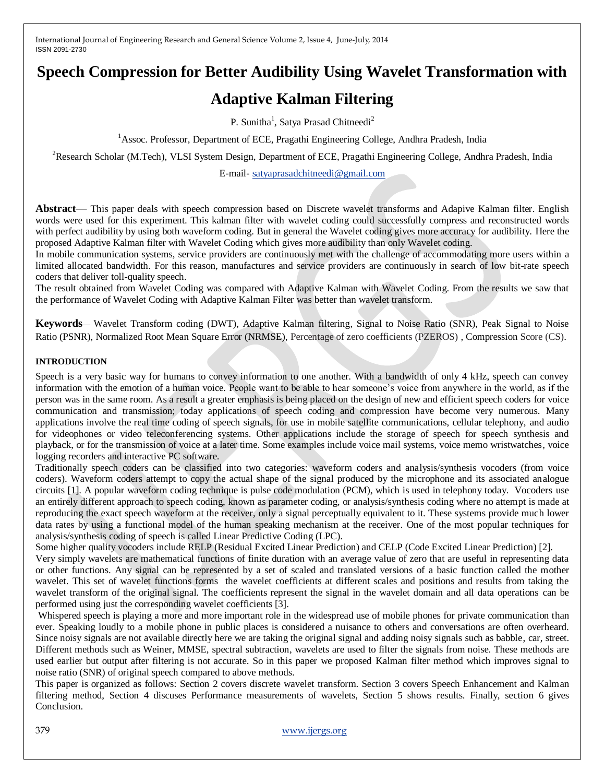# **Speech Compression for Better Audibility Using Wavelet Transformation with**

# **Adaptive Kalman Filtering**

P. Sunitha<sup>1</sup>, Satya Prasad Chitneedi<sup>2</sup>

<sup>1</sup>Assoc. Professor, Department of ECE, Pragathi Engineering College, Andhra Pradesh, India

<sup>2</sup>Research Scholar (M.Tech), VLSI System Design, Department of ECE, Pragathi Engineering College, Andhra Pradesh, India

E-mail- [satyaprasadchitneedi@gmail.com](mailto:satyaprasadchitneedi@gmail.com)

**Abstract**— This paper deals with speech compression based on Discrete wavelet transforms and Adapive Kalman filter. English words were used for this experiment. This kalman filter with wavelet coding could successfully compress and reconstructed words with perfect audibility by using both waveform coding. But in general the Wavelet coding gives more accuracy for audibility. Here the proposed Adaptive Kalman filter with Wavelet Coding which gives more audibility than only Wavelet coding.

In mobile communication systems, service providers are continuously met with the challenge of accommodating more users within a limited allocated bandwidth. For this reason, manufactures and service providers are continuously in search of low bit-rate speech coders that deliver toll-quality speech.

The result obtained from Wavelet Coding was compared with Adaptive Kalman with Wavelet Coding. From the results we saw that the performance of Wavelet Coding with Adaptive Kalman Filter was better than wavelet transform.

**Keywords**— Wavelet Transform coding (DWT), Adaptive Kalman filtering, Signal to Noise Ratio (SNR), Peak Signal to Noise Ratio (PSNR), Normalized Root Mean Square Error (NRMSE), Percentage of zero coefficients (PZEROS) , Compression Score (CS).

## **INTRODUCTION**

Speech is a very basic way for humans to convey information to one another. With a bandwidth of only 4 kHz, speech can convey information with the emotion of a human voice. People want to be able to hear someone's voice from anywhere in the world, as if the person was in the same room. As a result a greater emphasis is being placed on the design of new and efficient speech coders for voice communication and transmission; today applications of speech coding and compression have become very numerous. Many applications involve the real time coding of speech signals, for use in mobile satellite communications, cellular telephony, and audio for videophones or video teleconferencing systems. Other applications include the storage of speech for speech synthesis and playback, or for the transmission of voice at a later time. Some examples include voice mail systems, voice memo wristwatches, voice logging recorders and interactive PC software.

Traditionally speech coders can be classified into two categories: waveform coders and analysis/synthesis vocoders (from voice coders). Waveform coders attempt to copy the actual shape of the signal produced by the microphone and its associated analogue circuits [1]. A popular waveform coding technique is pulse code modulation (PCM), which is used in telephony today. Vocoders use an entirely different approach to speech coding, known as parameter coding, or analysis/synthesis coding where no attempt is made at reproducing the exact speech waveform at the receiver, only a signal perceptually equivalent to it. These systems provide much lower data rates by using a functional model of the human speaking mechanism at the receiver. One of the most popular techniques for analysis/synthesis coding of speech is called Linear Predictive Coding (LPC).

Some higher quality vocoders include RELP (Residual Excited Linear Prediction) and CELP (Code Excited Linear Prediction) [2].

Very simply wavelets are mathematical functions of finite duration with an average value of zero that are useful in representing data or other functions. Any signal can be represented by a set of scaled and translated versions of a basic function called the mother wavelet. This set of wavelet functions forms the wavelet coefficients at different scales and positions and results from taking the wavelet transform of the original signal. The coefficients represent the signal in the wavelet domain and all data operations can be performed using just the corresponding wavelet coefficients [3].

Whispered speech is playing a more and more important role in the widespread use of mobile phones for private communication than ever. Speaking loudly to a mobile phone in public places is considered a nuisance to others and conversations are often overheard. Since noisy signals are not available directly here we are taking the original signal and adding noisy signals such as babble, car, street. Different methods such as Weiner, MMSE, spectral subtraction, wavelets are used to filter the signals from noise. These methods are used earlier but output after filtering is not accurate. So in this paper we proposed Kalman filter method which improves signal to noise ratio (SNR) of original speech compared to above methods.

This paper is organized as follows: Section 2 covers discrete wavelet transform. Section 3 covers Speech Enhancement and Kalman filtering method, Section 4 discuses Performance measurements of wavelets, Section 5 shows results. Finally, section 6 gives Conclusion.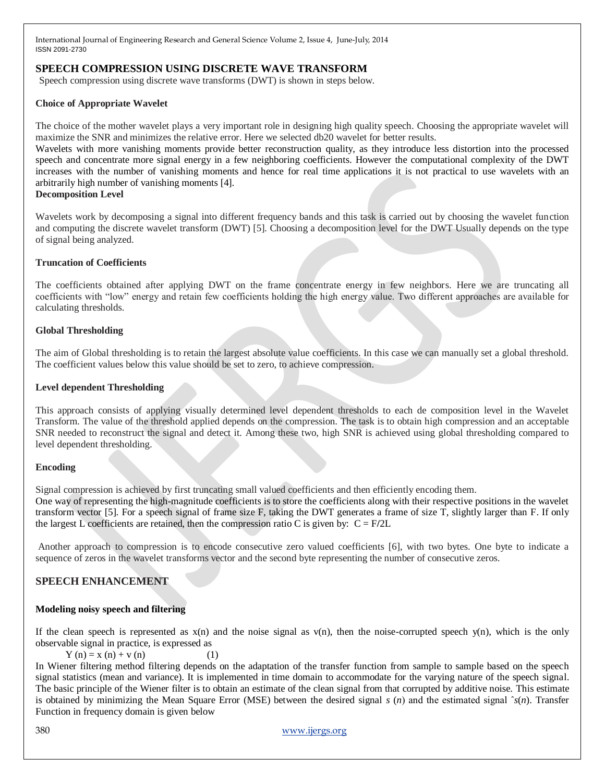# **SPEECH COMPRESSION USING DISCRETE WAVE TRANSFORM**

Speech compression using discrete wave transforms (DWT) is shown in steps below.

## **Choice of Appropriate Wavelet**

The choice of the mother wavelet plays a very important role in designing high quality speech. Choosing the appropriate wavelet will maximize the SNR and minimizes the relative error. Here we selected db20 wavelet for better results.

Wavelets with more vanishing moments provide better reconstruction quality, as they introduce less distortion into the processed speech and concentrate more signal energy in a few neighboring coefficients. However the computational complexity of the DWT increases with the number of vanishing moments and hence for real time applications it is not practical to use wavelets with an arbitrarily high number of vanishing moments [4].

### **Decomposition Level**

Wavelets work by decomposing a signal into different frequency bands and this task is carried out by choosing the wavelet function and computing the discrete wavelet transform (DWT) [5]. Choosing a decomposition level for the DWT Usually depends on the type of signal being analyzed.

### **Truncation of Coefficients**

The coefficients obtained after applying DWT on the frame concentrate energy in few neighbors. Here we are truncating all coefficients with "low" energy and retain few coefficients holding the high energy value. Two different approaches are available for calculating thresholds.

### **Global Thresholding**

The aim of Global thresholding is to retain the largest absolute value coefficients. In this case we can manually set a global threshold. The coefficient values below this value should be set to zero, to achieve compression.

## **Level dependent Thresholding**

This approach consists of applying visually determined level dependent thresholds to each de composition level in the Wavelet Transform. The value of the threshold applied depends on the compression. The task is to obtain high compression and an acceptable SNR needed to reconstruct the signal and detect it. Among these two, high SNR is achieved using global thresholding compared to level dependent thresholding.

### **Encoding**

Signal compression is achieved by first truncating small valued coefficients and then efficiently encoding them.

One way of representing the high-magnitude coefficients is to store the coefficients along with their respective positions in the wavelet transform vector [5]. For a speech signal of frame size F, taking the DWT generates a frame of size T, slightly larger than F. If only the largest L coefficients are retained, then the compression ratio C is given by:  $C = F/2L$ 

Another approach to compression is to encode consecutive zero valued coefficients [6], with two bytes. One byte to indicate a sequence of zeros in the wavelet transforms vector and the second byte representing the number of consecutive zeros.

# **SPEECH ENHANCEMENT**

# **Modeling noisy speech and filtering**

If the clean speech is represented as  $x(n)$  and the noise signal as  $v(n)$ , then the noise-corrupted speech  $y(n)$ , which is the only observable signal in practice, is expressed as

 $Y(n) = x(n) + v(n)$  (1)

In Wiener filtering method filtering depends on the adaptation of the transfer function from sample to sample based on the speech signal statistics (mean and variance). It is implemented in time domain to accommodate for the varying nature of the speech signal. The basic principle of the Wiener filter is to obtain an estimate of the clean signal from that corrupted by additive noise. This estimate is obtained by minimizing the Mean Square Error (MSE) between the desired signal *s* (*n*) and the estimated signal ˆ*s*(*n*). Transfer Function in frequency domain is given below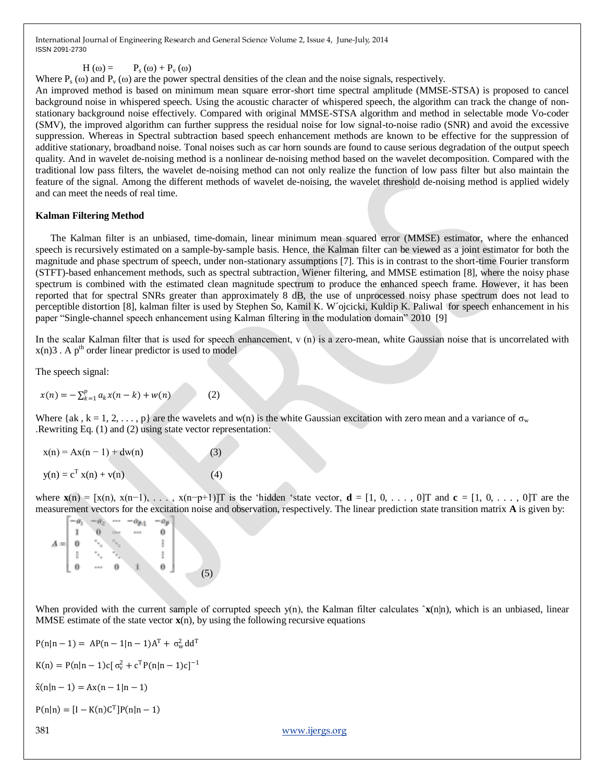### $H(\omega) = P_s(\omega) + P_v(\omega)$

Where P<sub>s</sub> (ω) and P<sub>v</sub> (ω) are the power spectral densities of the clean and the noise signals, respectively.

An improved method is based on minimum mean square error-short time spectral amplitude (MMSE-STSA) is proposed to cancel background noise in whispered speech. Using the acoustic character of whispered speech, the algorithm can track the change of nonstationary background noise effectively. Compared with original MMSE-STSA algorithm and method in selectable mode Vo-coder (SMV), the improved algorithm can further suppress the residual noise for low signal-to-noise radio (SNR) and avoid the excessive suppression. Whereas in Spectral subtraction based speech enhancement methods are known to be effective for the suppression of additive stationary, broadband noise. Tonal noises such as car horn sounds are found to cause serious degradation of the output speech quality. And in wavelet de-noising method is a nonlinear de-noising method based on the wavelet decomposition. Compared with the traditional low pass filters, the wavelet de-noising method can not only realize the function of low pass filter but also maintain the feature of the signal. Among the different methods of wavelet de-noising, the wavelet threshold de-noising method is applied widely and can meet the needs of real time.

### **Kalman Filtering Method**

 The Kalman filter is an unbiased, time-domain, linear minimum mean squared error (MMSE) estimator, where the enhanced speech is recursively estimated on a sample-by-sample basis. Hence, the Kalman filter can be viewed as a joint estimator for both the magnitude and phase spectrum of speech, under non-stationary assumptions [7]. This is in contrast to the short-time Fourier transform (STFT)-based enhancement methods, such as spectral subtraction, Wiener filtering, and MMSE estimation [8], where the noisy phase spectrum is combined with the estimated clean magnitude spectrum to produce the enhanced speech frame. However, it has been reported that for spectral SNRs greater than approximately 8 dB, the use of unprocessed noisy phase spectrum does not lead to perceptible distortion [8], kalman filter is used by Stephen So, Kamil K. W´ojcicki, Kuldip K. Paliwal for speech enhancement in his paper "Single-channel speech enhancement using Kalman filtering in the modulation domain" 2010 [9]

In the scalar Kalman filter that is used for speech enhancement, v (n) is a zero-mean, white Gaussian noise that is uncorrelated with  $x(n)$ 3. A p<sup>th</sup> order linear predictor is used to model

The speech signal:

$$
x(n) = -\sum_{k=1}^{p} a_k x(n-k) + w(n)
$$
 (2)

Where  $\{ak, k = 1, 2, \ldots, p\}$  are the wavelets and w(n) is the white Gaussian excitation with zero mean and a variance of  $\sigma_w$ .Rewriting Eq. (1) and (2) using state vector representation:

| $x(n) = Ax(n - 1) + dw(n)$ | (3) |
|----------------------------|-----|
| $y(n) = c^{T} x(n) + v(n)$ | (4) |

where  $\mathbf{x}(n) = [x(n), x(n-1), \ldots, x(n-p+1)]$  is the 'hidden 'state vector,  $\mathbf{d} = [1, 0, \ldots, 0]$  and  $\mathbf{c} = [1, 0, \ldots, 0]$  are the measurement vectors for the excitation noise and observation, respectively. The linear prediction state transition matrix **A** is given by:

|       | $-a_1$ | $=$ $a_{\odot}$ |                    | $\cdots$ $-a_{p-1}$ | $-a_p$ |     |
|-------|--------|-----------------|--------------------|---------------------|--------|-----|
|       |        |                 |                    |                     |        |     |
| $A =$ | 0      | ÷.,             | t                  |                     | İ      |     |
|       | i      | ٠,              | ٠.<br>$\mathbb{R}$ |                     | i      |     |
|       | 0      | $\cdots$        | 0                  |                     | 0      |     |
|       |        |                 |                    |                     |        | (5) |

When provided with the current sample of corrupted speech y(n), the Kalman filter calculates  $\hat{x}(n|n)$ , which is an unbiased, linear MMSE estimate of the state vector **x**(n), by using the following recursive equations

```
381 www.ijergs.org
P(n|n-1) = AP(n-1|n-1)A<sup>T</sup> + \sigma_w^2 dd^TK(n) = P(n|n-1)c[\sigma_v^2 + c^T P(n|n-1)c]^{-1}\hat{x}(n|n-1) = Ax(n-1|n-1)P(n|n) = [I - K(n)C^{T}]P(n|n-1)
```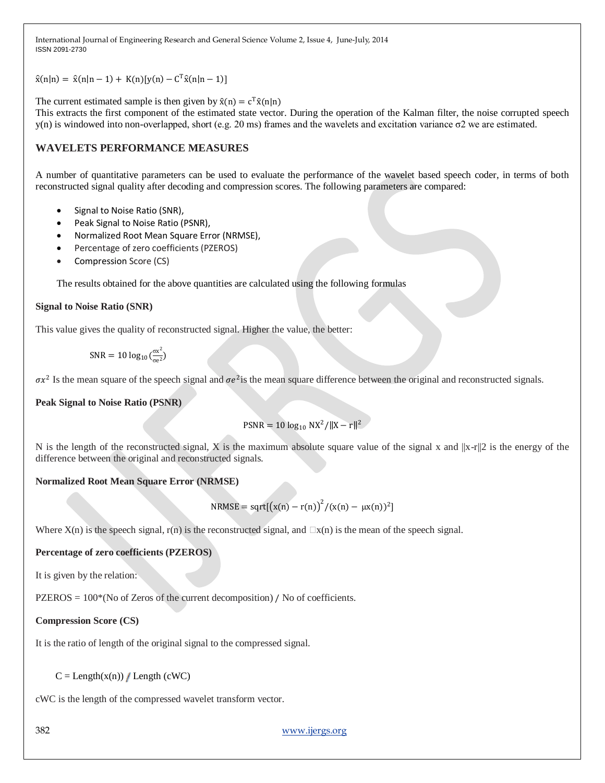$\hat{x}(n|n) = \hat{x}(n|n-1) + K(n)[y(n) - C^{T}\hat{x}(n|n-1)]$ 

The current estimated sample is then given by  $\hat{x}(n) = c^{T} \hat{x}(n|n)$ This extracts the first component of the estimated state vector. During the operation of the Kalman filter, the noise corrupted speech y(n) is windowed into non-overlapped, short (e.g. 20 ms) frames and the wavelets and excitation variance σ2 we are estimated.

# **WAVELETS PERFORMANCE MEASURES**

A number of quantitative parameters can be used to evaluate the performance of the wavelet based speech coder, in terms of both reconstructed signal quality after decoding and compression scores. The following parameters are compared:

- Signal to Noise Ratio (SNR),
- Peak Signal to Noise Ratio (PSNR),
- Normalized Root Mean Square Error (NRMSE),
- Percentage of zero coefficients (PZEROS)
- Compression Score (CS)

The results obtained for the above quantities are calculated using the following formulas

## **Signal to Noise Ratio (SNR)**

This value gives the quality of reconstructed signal. Higher the value, the better:

 $SNR = 10 log_{10} (\frac{\sigma x^2}{\sigma s^2})$  $\frac{0x}{\sigma e^2}$ )

 $\sigma x^2$  Is the mean square of the speech signal and  $\sigma e^2$  is the mean square difference between the original and reconstructed signals.

**Peak Signal to Noise Ratio (PSNR)**

$$
PSNR = 10 \log_{10} \frac{NX^2}{\|X - r\|^2}
$$

N is the length of the reconstructed signal, X is the maximum absolute square value of the signal x and  $||x-r||2$  is the energy of the difference between the original and reconstructed signals.

### **Normalized Root Mean Square Error (NRMSE)**

$$
NRMSE = sqrt[(x(n) - r(n))^{2} / (x(n) - \mu x(n))^{2}]
$$

Where  $X(n)$  is the speech signal,  $r(n)$  is the reconstructed signal, and  $\Box x(n)$  is the mean of the speech signal.

### **Percentage of zero coefficients (PZEROS)**

It is given by the relation:

 $PZEROS = 100*(No of Zeros of the current decomposition) / No of coefficients.$ 

### **Compression Score (CS)**

It is the ratio of length of the original signal to the compressed signal.

 $C = \text{Length}(x(n))$  / Length (cWC)

cWC is the length of the compressed wavelet transform vector.

382 [www.ijergs.org](http://www.ijergs.org/)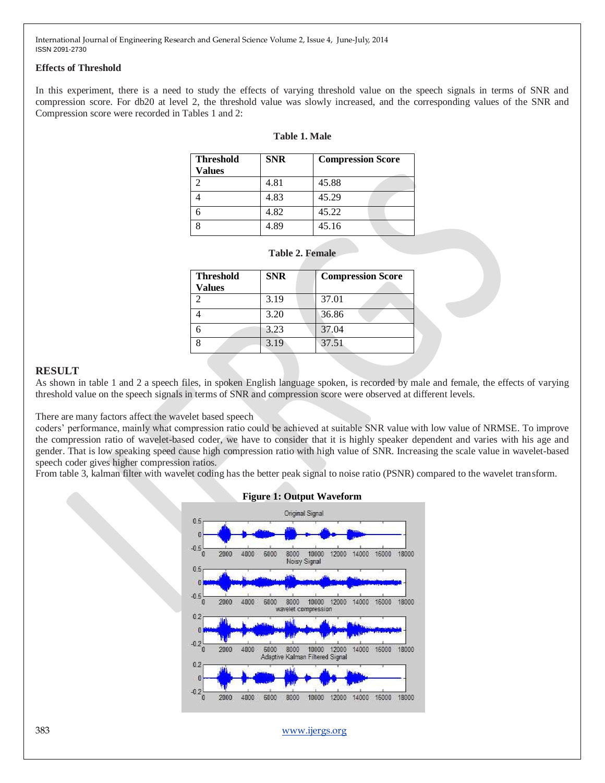#### **Effects of Threshold**

In this experiment, there is a need to study the effects of varying threshold value on the speech signals in terms of SNR and compression score. For db20 at level 2, the threshold value was slowly increased, and the corresponding values of the SNR and Compression score were recorded in Tables 1 and 2:

| <b>Threshold</b><br>Values | <b>SNR</b> | <b>Compression Score</b> |  |
|----------------------------|------------|--------------------------|--|
|                            | 4.81       | 45.88                    |  |
|                            | 4.83       | 45.29                    |  |
|                            | 4.82       | 45.22                    |  |
| Q                          | 4.89       | 45.16                    |  |

#### **Table 1. Male**

#### **Table 2. Female**

| <b>Threshold</b><br><b>Values</b> | <b>SNR</b> | <b>Compression Score</b> |
|-----------------------------------|------------|--------------------------|
|                                   | 3.19       | 37.01                    |
|                                   | 3.20       | 36.86                    |
|                                   | 3.23       | 37.04                    |
|                                   | 3.19       | 37.51                    |

#### **RESULT**

As shown in table 1 and 2 a speech files, in spoken English language spoken, is recorded by male and female, the effects of varying threshold value on the speech signals in terms of SNR and compression score were observed at different levels.

There are many factors affect the wavelet based speech

coders' performance, mainly what compression ratio could be achieved at suitable SNR value with low value of NRMSE. To improve the compression ratio of wavelet-based coder, we have to consider that it is highly speaker dependent and varies with his age and gender. That is low speaking speed cause high compression ratio with high value of SNR. Increasing the scale value in wavelet-based speech coder gives higher compression ratios.

From table 3, kalman filter with wavelet coding has the better peak signal to noise ratio (PSNR) compared to the wavelet transform.



### **Figure 1: Output Waveform**

383 [www.ijergs.org](http://www.ijergs.org/)